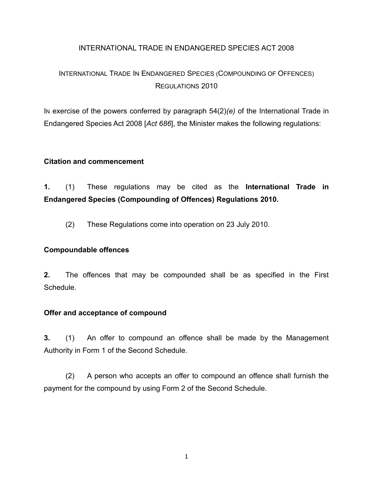## INTERNATIONAL TRADE IN ENDANGERED SPECIES ACT 2008

# INTERNATIONAL TRADE IN ENDANGERED SPECIES (COMPOUNDING OF OFFENCES) REGULATIONS 2010

IN exercise of the powers conferred by paragraph 54(2)*(e)* of the International Trade in Endangered Species Act 2008 [*Act 686*], the Minister makes the following regulations:

#### **Citation and commencement**

**1.** (1) These regulations may be cited as the **International Trade in Endangered Species (Compounding of Offences) Regulations 2010.**

(2) These Regulations come into operation on 23 July 2010.

#### **Compoundable offences**

**2.** The offences that may be compounded shall be as specified in the First **Schedule** 

#### **Offer and acceptance of compound**

**3.** (1) An offer to compound an offence shall be made by the Management Authority in Form 1 of the Second Schedule.

(2) A person who accepts an offer to compound an offence shall furnish the payment for the compound by using Form 2 of the Second Schedule.

1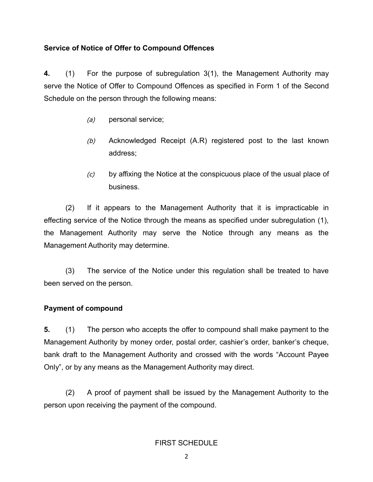## **Service of Notice of Offer to Compound Offences**

**4.** (1) For the purpose of subregulation 3(1), the Management Authority may serve the Notice of Offer to Compound Offences as specified in Form 1 of the Second Schedule on the person through the following means:

- (a) personal service;
- (b) Acknowledged Receipt (A.R) registered post to the last known address;
- $(c)$  by affixing the Notice at the conspicuous place of the usual place of business.

(2) If it appears to the Management Authority that it is impracticable in effecting service of the Notice through the means as specified under subregulation (1), the Management Authority may serve the Notice through any means as the Management Authority may determine.

(3) The service of the Notice under this regulation shall be treated to have been served on the person.

## **Payment of compound**

**5.** (1) The person who accepts the offer to compound shall make payment to the Management Authority by money order, postal order, cashier's order, banker's cheque, bank draft to the Management Authority and crossed with the words "Account Payee Only", or by any means as the Management Authority may direct.

(2) A proof of payment shall be issued by the Management Authority to the person upon receiving the payment of the compound.

## FIRST SCHEDULE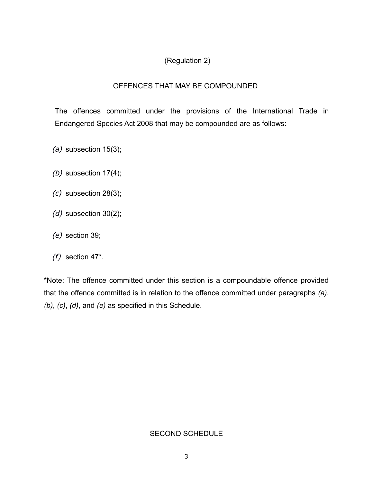## (Regulation 2)

## OFFENCES THAT MAY BE COMPOUNDED

The offences committed under the provisions of the International Trade in Endangered Species Act 2008 that may be compounded are as follows:

- (a) subsection  $15(3)$ ;
- (b) subsection  $17(4)$ ;
- $(c)$  subsection 28(3);
- $(d)$  subsection 30(2);
- (e) section 39;
- $(f)$  section 47\*.

\*Note: The offence committed under this section is a compoundable offence provided that the offence committed is in relation to the offence committed under paragraphs *(a)*, *(b)*, *(c)*, *(d)*, and *(e)* as specified in this Schedule.

## SECOND SCHEDULE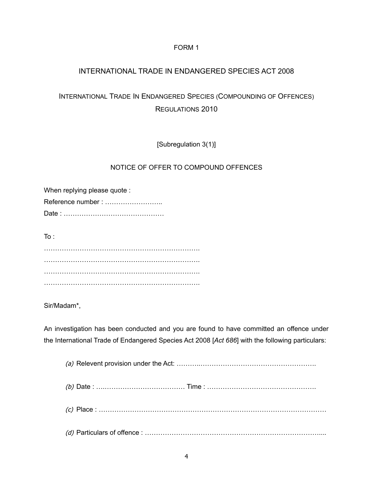#### FORM 1

## INTERNATIONAL TRADE IN ENDANGERED SPECIES ACT 2008

## INTERNATIONAL TRADE IN ENDANGERED SPECIES (COMPOUNDING OF OFFENCES) REGULATIONS 2010

[Subregulation 3(1)]

#### NOTICE OF OFFER TO COMPOUND OFFENCES

When replying please quote : Reference number : …………………….. Date : ………………………………………

 $To:$ 

……………………………………………………………. ……………………………………………………………. ……………………………………………………………. …………………………………………………………….

Sir/Madam\*,

An investigation has been conducted and you are found to have committed an offence under the International Trade of Endangered Species Act 2008 [*Act 686*] with the following particulars: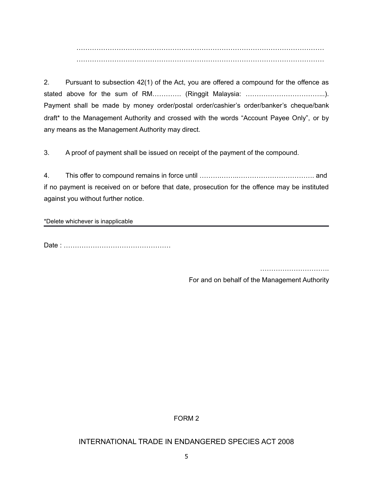………………………………………………………………………………………………… …………………………………………………………………………………………………

2. Pursuant to subsection 42(1) of the Act, you are offered a compound for the offence as stated above for the sum of RM…………. (Ringgit Malaysia: …………………………………….). Payment shall be made by money order/postal order/cashier's order/banker's cheque/bank draft\* to the Management Authority and crossed with the words "Account Payee Only", or by any means as the Management Authority may direct.

3. A proof of payment shall be issued on receipt of the payment of the compound.

4. This offer to compound remains in force until ……….……..……………………………. and if no payment is received on or before that date, prosecution for the offence may be instituted against you without further notice.

\*Delete whichever is inapplicable

Date : …………………………………………

……………………………………

For and on behalf of the Management Authority

FORM 2

#### INTERNATIONAL TRADE IN ENDANGERED SPECIES ACT 2008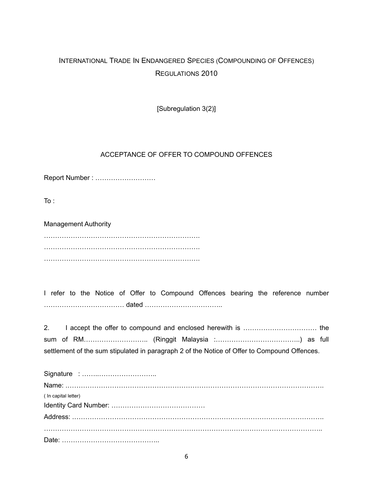# INTERNATIONAL TRADE IN ENDANGERED SPECIES (COMPOUNDING OF OFFENCES) REGULATIONS 2010

[Subregulation 3(2)]

#### ACCEPTANCE OF OFFER TO COMPOUND OFFENCES

Report Number : ………………………

To :

Management Authority ……………………………………………………………. ……………………………………………………………. …………………………………………………………….

I refer to the Notice of Offer to Compound Offences bearing the reference number ……………………………… dated ……………………………..

| settlement of the sum stipulated in paragraph 2 of the Notice of Offer to Compound Offences. |  |  |  |  |  |
|----------------------------------------------------------------------------------------------|--|--|--|--|--|

| ( In capital letter) |
|----------------------|
|                      |
|                      |
|                      |
|                      |